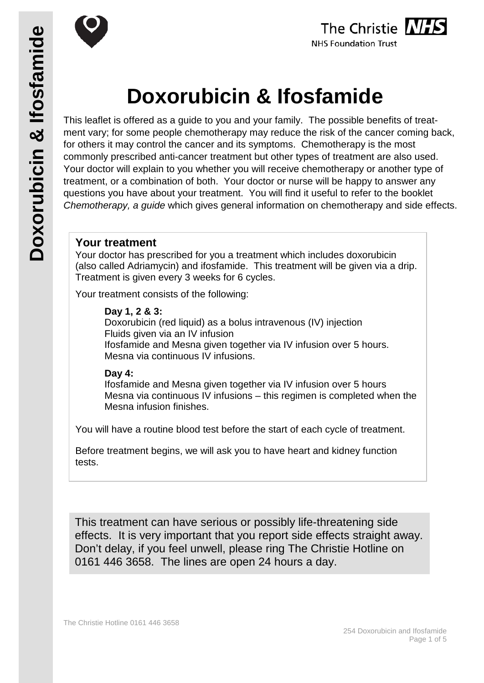





# **Doxorubicin & Ifosfamide**

This leaflet is offered as a guide to you and your family. The possible benefits of treatment vary; for some people chemotherapy may reduce the risk of the cancer coming back, for others it may control the cancer and its symptoms. Chemotherapy is the most commonly prescribed anti-cancer treatment but other types of treatment are also used. Your doctor will explain to you whether you will receive chemotherapy or another type of treatment, or a combination of both. Your doctor or nurse will be happy to answer any questions you have about your treatment. You will find it useful to refer to the booklet *Chemotherapy, a guide* which gives general information on chemotherapy and side effects.

#### **Your treatment**

Your doctor has prescribed for you a treatment which includes doxorubicin (also called Adriamycin) and ifosfamide. This treatment will be given via a drip. Treatment is given every 3 weeks for 6 cycles.

Your treatment consists of the following:

#### **Day 1, 2 & 3:**

Doxorubicin (red liquid) as a bolus intravenous (IV) injection Fluids given via an IV infusion Ifosfamide and Mesna given together via IV infusion over 5 hours. Mesna via continuous IV infusions.

#### **Day 4:**

Ifosfamide and Mesna given together via IV infusion over 5 hours Mesna via continuous IV infusions – this regimen is completed when the Mesna infusion finishes.

You will have a routine blood test before the start of each cycle of treatment.

Before treatment begins, we will ask you to have heart and kidney function tests.

This treatment can have serious or possibly life-threatening side effects. It is very important that you report side effects straight away. Don't delay, if you feel unwell, please ring The Christie Hotline on 0161 446 3658. The lines are open 24 hours a day.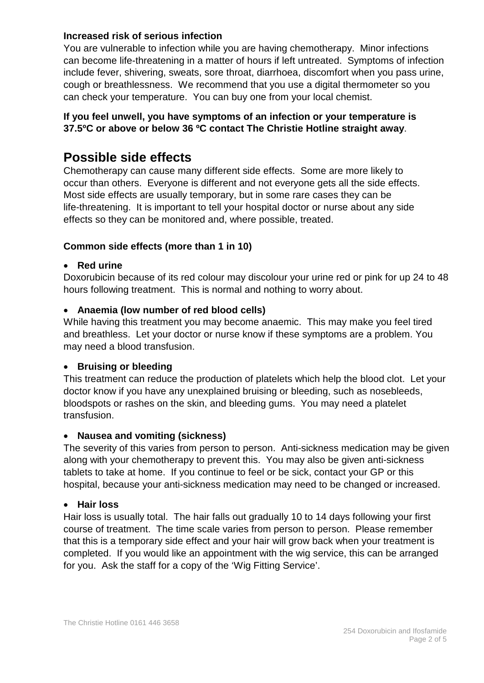#### **Increased risk of serious infection**

You are vulnerable to infection while you are having chemotherapy. Minor infections can become life-threatening in a matter of hours if left untreated. Symptoms of infection include fever, shivering, sweats, sore throat, diarrhoea, discomfort when you pass urine, cough or breathlessness. We recommend that you use a digital thermometer so you can check your temperature. You can buy one from your local chemist.

#### **If you feel unwell, you have symptoms of an infection or your temperature is 37.5ºC or above or below 36 ºC contact The Christie Hotline straight away**.

## **Possible side effects**

Chemotherapy can cause many different side effects. Some are more likely to occur than others. Everyone is different and not everyone gets all the side effects. Most side effects are usually temporary, but in some rare cases they can be life-threatening. It is important to tell your hospital doctor or nurse about any side effects so they can be monitored and, where possible, treated.

#### **Common side effects (more than 1 in 10)**

#### • **Red urine**

Doxorubicin because of its red colour may discolour your urine red or pink for up 24 to 48 hours following treatment. This is normal and nothing to worry about.

#### • **Anaemia (low number of red blood cells)**

While having this treatment you may become anaemic. This may make you feel tired and breathless. Let your doctor or nurse know if these symptoms are a problem. You may need a blood transfusion.

#### • **Bruising or bleeding**

This treatment can reduce the production of platelets which help the blood clot. Let your doctor know if you have any unexplained bruising or bleeding, such as nosebleeds, bloodspots or rashes on the skin, and bleeding gums. You may need a platelet transfusion.

#### • **Nausea and vomiting (sickness)**

The severity of this varies from person to person. Anti-sickness medication may be given along with your chemotherapy to prevent this. You may also be given anti-sickness tablets to take at home. If you continue to feel or be sick, contact your GP or this hospital, because your anti-sickness medication may need to be changed or increased.

#### • **Hair loss**

Hair loss is usually total. The hair falls out gradually 10 to 14 days following your first course of treatment. The time scale varies from person to person. Please remember that this is a temporary side effect and your hair will grow back when your treatment is completed. If you would like an appointment with the wig service, this can be arranged for you. Ask the staff for a copy of the 'Wig Fitting Service'.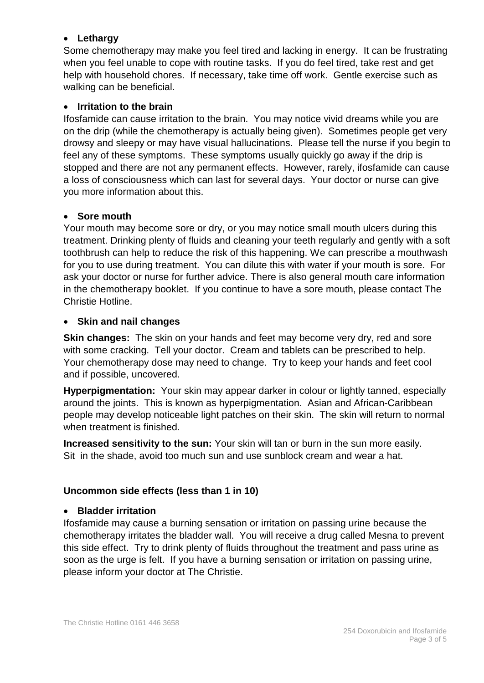#### • **Lethargy**

Some chemotherapy may make you feel tired and lacking in energy. It can be frustrating when you feel unable to cope with routine tasks. If you do feel tired, take rest and get help with household chores. If necessary, take time off work. Gentle exercise such as walking can be beneficial.

#### • **Irritation to the brain**

Ifosfamide can cause irritation to the brain. You may notice vivid dreams while you are on the drip (while the chemotherapy is actually being given). Sometimes people get very drowsy and sleepy or may have visual hallucinations. Please tell the nurse if you begin to feel any of these symptoms. These symptoms usually quickly go away if the drip is stopped and there are not any permanent effects. However, rarely, ifosfamide can cause a loss of consciousness which can last for several days. Your doctor or nurse can give you more information about this.

#### • **Sore mouth**

Your mouth may become sore or dry, or you may notice small mouth ulcers during this treatment. Drinking plenty of fluids and cleaning your teeth regularly and gently with a soft toothbrush can help to reduce the risk of this happening. We can prescribe a mouthwash for you to use during treatment. You can dilute this with water if your mouth is sore. For ask your doctor or nurse for further advice. There is also general mouth care information in the chemotherapy booklet. If you continue to have a sore mouth, please contact The Christie Hotline.

#### • **Skin and nail changes**

**Skin changes:** The skin on your hands and feet may become very dry, red and sore with some cracking. Tell your doctor. Cream and tablets can be prescribed to help. Your chemotherapy dose may need to change. Try to keep your hands and feet cool and if possible, uncovered.

**Hyperpigmentation:** Your skin may appear darker in colour or lightly tanned, especially around the joints. This is known as hyperpigmentation. Asian and African-Caribbean people may develop noticeable light patches on their skin. The skin will return to normal when treatment is finished.

**Increased sensitivity to the sun:** Your skin will tan or burn in the sun more easily. Sit in the shade, avoid too much sun and use sunblock cream and wear a hat.

#### **Uncommon side effects (less than 1 in 10)**

#### • **Bladder irritation**

Ifosfamide may cause a burning sensation or irritation on passing urine because the chemotherapy irritates the bladder wall. You will receive a drug called Mesna to prevent this side effect. Try to drink plenty of fluids throughout the treatment and pass urine as soon as the urge is felt. If you have a burning sensation or irritation on passing urine, please inform your doctor at The Christie.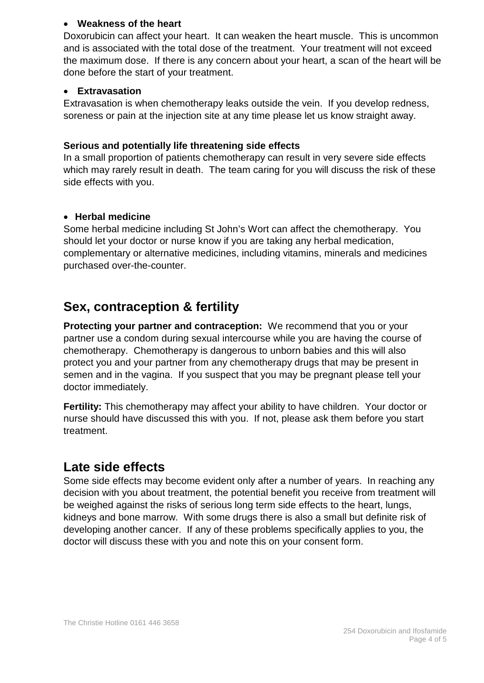#### • **Weakness of the heart**

Doxorubicin can affect your heart. It can weaken the heart muscle. This is uncommon and is associated with the total dose of the treatment. Your treatment will not exceed the maximum dose. If there is any concern about your heart, a scan of the heart will be done before the start of your treatment.

#### • **Extravasation**

Extravasation is when chemotherapy leaks outside the vein. If you develop redness, soreness or pain at the injection site at any time please let us know straight away.

#### **Serious and potentially life threatening side effects**

In a small proportion of patients chemotherapy can result in very severe side effects which may rarely result in death. The team caring for you will discuss the risk of these side effects with you.

#### • **Herbal medicine**

Some herbal medicine including St John's Wort can affect the chemotherapy. You should let your doctor or nurse know if you are taking any herbal medication, complementary or alternative medicines, including vitamins, minerals and medicines purchased over-the-counter.

## **Sex, contraception & fertility**

**Protecting your partner and contraception:** We recommend that you or your partner use a condom during sexual intercourse while you are having the course of chemotherapy. Chemotherapy is dangerous to unborn babies and this will also protect you and your partner from any chemotherapy drugs that may be present in semen and in the vagina. If you suspect that you may be pregnant please tell your doctor immediately.

**Fertility:** This chemotherapy may affect your ability to have children. Your doctor or nurse should have discussed this with you. If not, please ask them before you start treatment.

## **Late side effects**

Some side effects may become evident only after a number of years. In reaching any decision with you about treatment, the potential benefit you receive from treatment will be weighed against the risks of serious long term side effects to the heart, lungs, kidneys and bone marrow. With some drugs there is also a small but definite risk of developing another cancer. If any of these problems specifically applies to you, the doctor will discuss these with you and note this on your consent form.